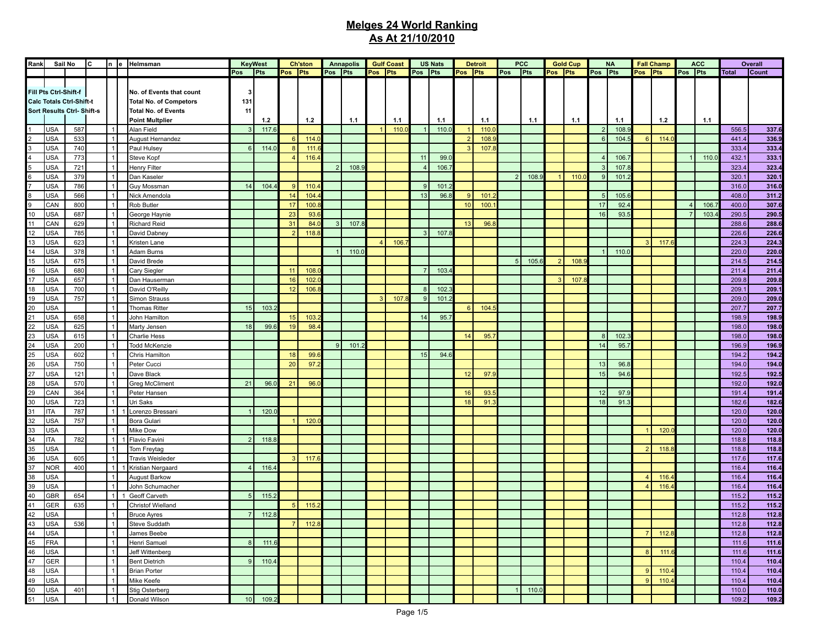| Rank | Sail No                                                  |            | lc. |                   | In le Helmsman                                            |                | <b>KeyWest</b> |                | <b>Ch'ston</b> |                | <b>Annapolis</b> |                | <b>Gulf Coast</b> |                | <b>US Nats</b> |                | <b>Detroit</b> |                | <b>PCC</b> |                | <b>Gold Cup</b> |         | <b>NA</b> |                | <b>Fall Champ</b> |                         | <b>ACC</b> |              | Overall |
|------|----------------------------------------------------------|------------|-----|-------------------|-----------------------------------------------------------|----------------|----------------|----------------|----------------|----------------|------------------|----------------|-------------------|----------------|----------------|----------------|----------------|----------------|------------|----------------|-----------------|---------|-----------|----------------|-------------------|-------------------------|------------|--------------|---------|
|      |                                                          |            |     |                   |                                                           | Pos            | Pts            | Pos Pts        |                | Pos Pts        |                  | Pos Pts        |                   | Pos Pts        |                | Pos Pts        |                | Pos            | Pts        | Pos Pts        |                 | Pos Pts |           | Pos Pts        |                   | Pos Pts                 |            | <b>Total</b> | Count   |
|      | Fill Pts Ctrl-Shift-f<br><b>Calc Totals Ctrl-Shift-t</b> |            |     |                   | No. of Events that count<br><b>Total No. of Competors</b> | 3<br>131       |                |                |                |                |                  |                |                   |                |                |                |                |                |            |                |                 |         |           |                |                   |                         |            |              |         |
|      | <b>Sort Results Ctrl-Shift s</b>                         |            |     |                   | <b>Total No. of Events</b><br><b>Point Multplier</b>      | 11             | 1.2            |                | 1.2            |                | 1.1              |                | 1.1               |                | 1.1            |                | 1.1            |                | 1.1        |                | 1.1             |         | 1.1       |                | 1.2               |                         | 1.1        |              |         |
|      | USA                                                      | 587        |     | $\vert$ 1         | Alan Field                                                | $\mathbf{3}$   | 117.           |                |                |                |                  |                | 110.              |                | 110.0          |                | 110.1          |                |            |                |                 |         | 108.      |                |                   |                         |            | 556.5        | 337.6   |
|      | <b>USA</b>                                               | 533        |     | $\mathbf{1}$      | August Hernandez                                          |                |                | 61             | 114.           |                |                  |                |                   |                |                | $\overline{2}$ | 108.           |                |            |                |                 |         | 104.      | 6              | 114.              |                         |            | 441.4        | 336.9   |
|      | <b>USA</b>                                               | 740        |     | $\vert$ 1         | Paul Hulsey                                               | 6              | 114.           | 8              | 111.           |                |                  |                |                   |                |                | $\mathcal{B}$  | 107.           |                |            |                |                 |         |           |                |                   |                         |            | 333.4        | 333.4   |
|      | <b>USA</b>                                               | 773        |     | $\mathbf{1}$      | Steve Kopf                                                |                |                |                | 116.           |                |                  |                |                   | 11             | 99.1           |                |                |                |            |                |                 |         | 106.      |                |                   |                         | 110.       | 432.1        | 333.1   |
|      | <b>USA</b>                                               | 721        |     | 1                 | Henry Filter                                              |                |                |                |                | 2              | 108.9            |                |                   | $\overline{4}$ | 106.           |                |                |                |            |                |                 |         | 107.      |                |                   |                         |            | 323.4        | 323.4   |
|      | <b>USA</b>                                               | 379        |     | $\mathbf{1}$      | Dan Kaseler                                               |                |                |                |                |                |                  |                |                   |                |                |                |                | 2 <sup>1</sup> | 108.9      |                | 110.1           |         | 101       |                |                   |                         |            | 320.1        | 320.1   |
|      | <b>USA</b>                                               | 786        |     | 1                 | Guy Mossman                                               | 14             | 104.           | 9 <sup>1</sup> | 110.           |                |                  |                |                   | 9              | 101.2          |                |                |                |            |                |                 |         |           |                |                   |                         |            | 316.0        | 316.0   |
|      | <b>USA</b>                                               | 566        |     | $\mathbf{1}$      | Nick Amendola                                             |                |                | 14             | 104.           |                |                  |                |                   | 13             | 96.            | 9              | 101.           |                |            |                |                 |         | 105.      |                |                   |                         |            | 408.0        | 311.2   |
|      | CAN                                                      | 800        |     | 1                 | Rob Butler                                                |                |                | 17             | 100.           |                |                  |                |                   |                |                | 10             | 100            |                |            |                |                 | 17      | 92.       |                |                   | $\overline{\mathbf{A}}$ | 106.       | 400.0        | 307.6   |
| 10   | <b>USA</b>                                               | 687        |     | $\mathbf{1}$      | George Haynie                                             |                |                | 23             | 93.            |                |                  |                |                   |                |                |                |                |                |            |                |                 | 16      | 93.       |                |                   |                         | 103.       | 290.5        | 290.5   |
| 11   | CAN                                                      | 629        |     | 1                 | <b>Richard Reid</b>                                       |                |                | 31             | 84.            | $\overline{3}$ | 107.8            |                |                   |                |                | 13             | 96.            |                |            |                |                 |         |           |                |                   |                         |            | 288.6        | 288.6   |
| 12   | <b>USA</b>                                               | 785        |     | $\mathbf{1}$      | David Dabney                                              |                |                | $\overline{2}$ | 118.           |                |                  |                |                   | $\mathbf{3}$   | 107.           |                |                |                |            |                |                 |         |           |                |                   |                         |            | 226.6        | 226.6   |
| 13   | <b>USA</b>                                               | 623        |     | 1                 | Kristen Lane                                              |                |                |                |                |                |                  | $\overline{4}$ | 106.              |                |                |                |                |                |            |                |                 |         |           | $\mathbf{B}$   | 117.              |                         |            | 224.3        | 224.3   |
| 14   | <b>USA</b>                                               | 378        |     | $\mathbf{1}$      | Adam Burns                                                |                |                |                |                |                | 110.0            |                |                   |                |                |                |                |                |            |                |                 |         | 110.1     |                |                   |                         |            | 220.0        | 220.0   |
| 15   | <b>USA</b>                                               | 675        |     | 1                 | David Brede                                               |                |                |                |                |                |                  |                |                   |                |                |                |                | 5 <sub>1</sub> | 105.6      | $\overline{2}$ | 108.            |         |           |                |                   |                         |            | 214.5        | 214.5   |
| 16   | <b>USA</b>                                               | 680        |     | $\mathbf{1}$      | Cary Siegler                                              |                |                | 11             | 108.           |                |                  |                |                   | $\overline{7}$ | 103.           |                |                |                |            |                |                 |         |           |                |                   |                         |            | 211.4        | 211.4   |
| 17   | <b>USA</b>                                               | 657        |     | 1                 | Dan Hauserman                                             |                |                | 16             | 102.           |                |                  |                |                   |                |                |                |                |                |            | 3              | 107.            |         |           |                |                   |                         |            | 209.8        | 209.8   |
| 18   | <b>USA</b>                                               | 700        |     | $\mathbf{1}$      | David O'Reilly                                            |                |                | 12             | 106.           |                |                  |                |                   | 8              | 102.           |                |                |                |            |                |                 |         |           |                |                   |                         |            | 209.1        | 209.1   |
| 19   | <b>USA</b>                                               | 757        |     | 1                 | Simon Strauss                                             |                |                |                |                |                |                  | 3              | 107               | 9              | 101.2          |                |                |                |            |                |                 |         |           |                |                   |                         |            | 209.0        | 209.0   |
| 20   | <b>USA</b>                                               |            |     | $\mathbf{1}$      | <b>Thomas Ritter</b>                                      | 15             | 103.           |                |                |                |                  |                |                   |                |                | 6              | 104.           |                |            |                |                 |         |           |                |                   |                         |            | 207.7        | 207.7   |
| 21   | <b>USA</b>                                               | 658        |     | $\mathbf{1}$      | John Hamilton                                             |                |                | 15             | 103.           |                |                  |                |                   | 14             | 95.7           |                |                |                |            |                |                 |         |           |                |                   |                         |            | 198.9        | 198.9   |
| 22   | <b>USA</b>                                               | 625        |     | $\mathbf{1}$      | Marty Jensen                                              | 18             | 99.6           | 19             | 98.            |                |                  |                |                   |                |                |                |                |                |            |                |                 |         |           |                |                   |                         |            | 198.0        | 198.0   |
| 23   | <b>USA</b>                                               | 615        |     | $\vert$ 1         | Charlie Hess                                              |                |                |                |                |                |                  |                |                   |                |                | 14             | 95.            |                |            |                |                 |         | 102.      |                |                   |                         |            | 198.0        | 198.0   |
|      | <b>USA</b>                                               | 200        |     | $\mathbf{1}$      |                                                           |                |                |                |                | 9              | 101.             |                |                   |                |                |                |                |                |            |                |                 | 14      | 95.       |                |                   |                         |            | 196.9        | 196.9   |
| 24   | <b>USA</b>                                               | 602        |     | 1                 | <b>Todd McKenzie</b><br>Chris Hamilton                    |                |                |                | 99.            |                |                  |                |                   |                | 94.6           |                |                |                |            |                |                 |         |           |                |                   |                         |            | 194.2        | 194.2   |
| 25   |                                                          |            |     |                   |                                                           |                |                | 18             |                |                |                  |                |                   | 15             |                |                |                |                |            |                |                 |         |           |                |                   |                         |            |              |         |
| 26   | <b>USA</b>                                               | 750        |     | $\mathbf{1}$<br>1 | Peter Cucci                                               |                |                | 20             | 97.            |                |                  |                |                   |                |                |                |                |                |            |                |                 | 13      | 96.       |                |                   |                         |            | 194.0        | 194.0   |
| 27   | <b>USA</b>                                               | 121        |     |                   | Dave Black                                                |                |                |                |                |                |                  |                |                   |                |                | 12             | 97.9           |                |            |                |                 | 15      | 94.       |                |                   |                         |            | 192.5        | 192.5   |
| 28   | <b>USA</b>                                               | 570<br>364 |     | $\mathbf{1}$<br>1 | <b>Greg McCliment</b>                                     | 21             | 96.            | 21             | 96.            |                |                  |                |                   |                |                |                |                |                |            |                |                 |         |           |                |                   |                         |            | 192.0        | 192.0   |
| 29   | CAN                                                      |            |     |                   | Peter Hansen                                              |                |                |                |                |                |                  |                |                   |                |                | 16             | 93.            |                |            |                |                 | 12      | 97.       |                |                   |                         |            | 191.4        | 191.4   |
| 30   | <b>USA</b>                                               | 723        |     | 1                 | Uri Saks                                                  |                |                |                |                |                |                  |                |                   |                |                | 18             | 91.            |                |            |                |                 | 18      | 91        |                |                   |                         |            | 182.6        | 182.6   |
| 31   | <b>ITA</b>                                               | 787        |     | 1                 | Lorenzo Bressani                                          | 1              | 120.           |                |                |                |                  |                |                   |                |                |                |                |                |            |                |                 |         |           |                |                   |                         |            | 120.0        | 120.0   |
| 32   | <b>USA</b>                                               | 757        |     | $\mathbf{1}$      | Bora Gulari                                               |                |                |                | 120.           |                |                  |                |                   |                |                |                |                |                |            |                |                 |         |           |                |                   |                         |            | 120.0        | 120.0   |
| 33   | <b>USA</b>                                               |            |     | $\mathbf{1}$      | Mike Dow                                                  |                |                |                |                |                |                  |                |                   |                |                |                |                |                |            |                |                 |         |           |                | 120.              |                         |            | 120.0        | 120.0   |
| 34   | <b>ITA</b>                                               | 782        |     | 1                 | Flavio Favini                                             | $\overline{2}$ | 118.           |                |                |                |                  |                |                   |                |                |                |                |                |            |                |                 |         |           |                |                   |                         |            | 118.8        | 118.8   |
| 35   | <b>USA</b>                                               |            |     | $\mathbf{1}$      | Tom Freytag                                               |                |                |                |                |                |                  |                |                   |                |                |                |                |                |            |                |                 |         |           |                | 118.8             |                         |            | 118.8        | 118.8   |
| 36   | <b>USA</b>                                               | 605        |     | $\mathbf{1}$      | <b>Travis Weisleder</b>                                   |                |                | 3 <sup>1</sup> | 117.           |                |                  |                |                   |                |                |                |                |                |            |                |                 |         |           |                |                   |                         |            | 117.6        | 117.6   |
| 37   | <b>NOR</b>                                               | 400        |     | 1                 | 1 Kristian Nergaard                                       | $\overline{4}$ | 116.4          |                |                |                |                  |                |                   |                |                |                |                |                |            |                |                 |         |           |                |                   |                         |            | 116.4        | 116.4   |
| 38   | <b>USA</b>                                               |            |     | $\mathbf{1}$      | August Barkow                                             |                |                |                |                |                |                  |                |                   |                |                |                |                |                |            |                |                 |         |           | $\overline{4}$ | 116.              |                         |            | 116.4        | 116.4   |
| 39   | <b>USA</b>                                               |            |     | 1                 | John Schumacher                                           |                |                |                |                |                |                  |                |                   |                |                |                |                |                |            |                |                 |         |           |                | 116.4             |                         |            | 116.4        | 116.4   |
| 40   | <b>GBR</b>                                               | 654        |     | 1                 | Geoff Carveth                                             | 5              | 115.           |                |                |                |                  |                |                   |                |                |                |                |                |            |                |                 |         |           |                |                   |                         |            | 115.2        | 115.2   |
| 41   | <b>GER</b>                                               | 635        |     | 1                 | Christof Wielland                                         |                |                | 5 <sub>1</sub> | 115.           |                |                  |                |                   |                |                |                |                |                |            |                |                 |         |           |                |                   |                         |            | 115.2        | 115.2   |
| 42   | <b>USA</b>                                               |            |     | 1                 | <b>Bruce Ayres</b>                                        | $\overline{7}$ | 112.3          |                |                |                |                  |                |                   |                |                |                |                |                |            |                |                 |         |           |                |                   |                         |            | 112.8        | 112.8   |
| 43   | <b>USA</b>                                               | 536        |     | 1                 | Steve Suddath                                             |                |                | 7 <sup>1</sup> | 112.           |                |                  |                |                   |                |                |                |                |                |            |                |                 |         |           |                |                   |                         |            | 112.8        | 112.8   |
| 44   | USA                                                      |            |     | 1                 | James Beebe                                               |                |                |                |                |                |                  |                |                   |                |                |                |                |                |            |                |                 |         |           | $\overline{7}$ | 112.8             |                         |            | 112.8        | 112.8   |
| 45   | FRA                                                      |            |     | 1                 | Henri Samuel                                              | 8 <sup>1</sup> | 111.6          |                |                |                |                  |                |                   |                |                |                |                |                |            |                |                 |         |           |                |                   |                         |            | 111.6        | 111.6   |
| 46   | USA                                                      |            |     | 1                 | Jeff Wittenberg                                           |                |                |                |                |                |                  |                |                   |                |                |                |                |                |            |                |                 |         |           | 8              | 111.6             |                         |            | 111.6        | 111.6   |
| 47   | GER                                                      |            |     | 1                 | <b>Bent Dietrich</b>                                      | 9              | 110.4          |                |                |                |                  |                |                   |                |                |                |                |                |            |                |                 |         |           |                |                   |                         |            | 110.4        | 110.4   |
| 48   | <b>USA</b>                                               |            |     | $\mathbf{1}$      | <b>Brian Porter</b>                                       |                |                |                |                |                |                  |                |                   |                |                |                |                |                |            |                |                 |         |           | 9              | 110.4             |                         |            | 110.4        | 110.4   |
| 49   | USA                                                      |            |     | $\mathbf{1}$      | Mike Keefe                                                |                |                |                |                |                |                  |                |                   |                |                |                |                |                |            |                |                 |         |           | 9              | 110.4             |                         |            | 110.4        | 110.4   |
| 50   | <b>USA</b>                                               | 401        |     | 1                 | Stig Osterberg                                            |                |                |                |                |                |                  |                |                   |                |                |                |                |                | 110.0      |                |                 |         |           |                |                   |                         |            | 110.0        | 110.0   |
| 51   | <b>USA</b>                                               |            |     | $\vert$ 1         | Donald Wilson                                             | 10             | 109.2          |                |                |                |                  |                |                   |                |                |                |                |                |            |                |                 |         |           |                |                   |                         |            | 109.2        | 109.2   |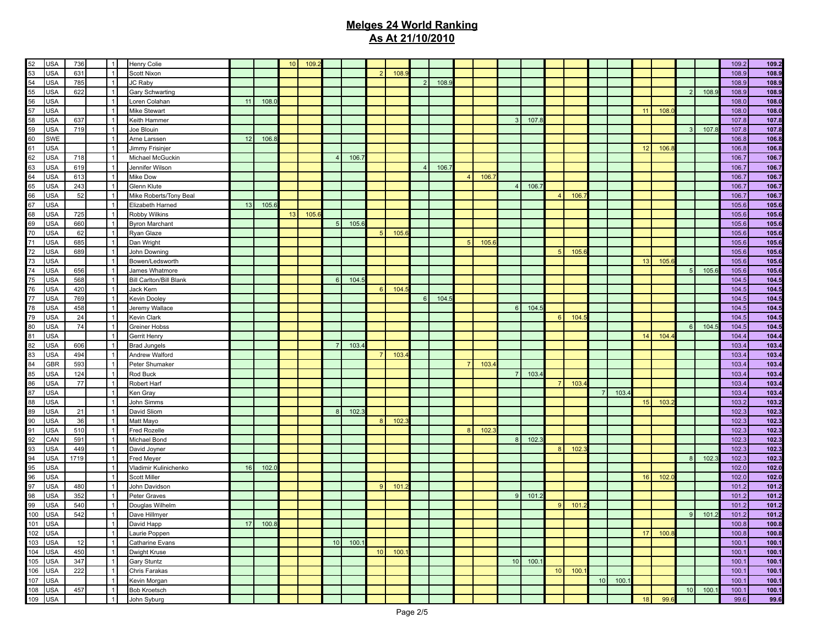| 52                | USA        | 736  | $\overline{1}$ | <b>Henry Colie</b>             |                 |       | 10 <sup>1</sup> | 109. |                 |       |                  |      |                |      |                |      |                |       |                 |      |           |      |    |       |                 |       | 109.2 | 109.2 |
|-------------------|------------|------|----------------|--------------------------------|-----------------|-------|-----------------|------|-----------------|-------|------------------|------|----------------|------|----------------|------|----------------|-------|-----------------|------|-----------|------|----|-------|-----------------|-------|-------|-------|
| 53                | <b>USA</b> |      | $\overline{1}$ | Scott Nixon                    |                 |       |                 |      |                 |       | 2 <sup>1</sup>   |      |                |      |                |      |                |       |                 |      |           |      |    |       |                 |       |       |       |
|                   |            | 631  |                |                                |                 |       |                 |      |                 |       |                  | 108. |                |      |                |      |                |       |                 |      |           |      |    |       |                 |       | 108.9 | 108.9 |
| $\frac{54}{55}$   | <b>USA</b> | 785  | $\overline{1}$ | JC Raby                        |                 |       |                 |      |                 |       |                  |      | 21             | 108. |                |      |                |       |                 |      |           |      |    |       |                 |       | 108.9 | 108.9 |
|                   | <b>USA</b> | 622  | $\overline{1}$ | Gary Schwarting                |                 |       |                 |      |                 |       |                  |      |                |      |                |      |                |       |                 |      |           |      |    |       | $\overline{2}$  | 108.5 | 108.9 | 108.9 |
| 56                | <b>USA</b> |      | $\mathbf{1}$   | Loren Colahan                  | 11              | 108.  |                 |      |                 |       |                  |      |                |      |                |      |                |       |                 |      |           |      |    |       |                 |       | 108.0 | 108.0 |
| 57                | <b>USA</b> |      | $\mathbf{1}$   | Mike Stewart                   |                 |       |                 |      |                 |       |                  |      |                |      |                |      |                |       |                 |      |           |      | 11 | 108.  |                 |       | 108.0 | 108.0 |
| 58                | <b>USA</b> | 637  | $\mathbf{1}$   | Keith Hammer                   |                 |       |                 |      |                 |       |                  |      |                |      |                |      | 3              | 107.  |                 |      |           |      |    |       |                 |       | 107.8 | 107.8 |
| 59                | <b>USA</b> | 719  | $\overline{1}$ | Joe Blouin                     |                 |       |                 |      |                 |       |                  |      |                |      |                |      |                |       |                 |      |           |      |    |       | $\mathbf{3}$    | 107.8 | 107.8 | 107.8 |
| 60                | <b>SWE</b> |      | $\mathbf{1}$   | Arne Larssen                   | 12              | 106.  |                 |      |                 |       |                  |      |                |      |                |      |                |       |                 |      |           |      |    |       |                 |       | 106.8 | 106.8 |
| 61                | <b>USA</b> |      | $\mathbf{1}$   | Jimmy Frisinjer                |                 |       |                 |      |                 |       |                  |      |                |      |                |      |                |       |                 |      |           |      | 12 | 106.  |                 |       | 106.8 | 106.8 |
| 62                | <b>USA</b> | 718  | $\overline{1}$ | Michael McGuckin               |                 |       |                 |      | $\overline{4}$  | 106.7 |                  |      |                |      |                |      |                |       |                 |      |           |      |    |       |                 |       | 106.7 | 106.7 |
| 63                | <b>USA</b> | 619  | $\overline{1}$ | Jennifer Wilson                |                 |       |                 |      |                 |       |                  |      | 4 <sup>1</sup> | 106. |                |      |                |       |                 |      |           |      |    |       |                 |       | 106.7 | 106.7 |
| 64                | <b>USA</b> | 613  | $\overline{1}$ | Mike Dow                       |                 |       |                 |      |                 |       |                  |      |                |      | $\overline{4}$ | 106. |                |       |                 |      |           |      |    |       |                 |       | 106.7 | 106.7 |
| 65                | <b>USA</b> | 243  | $\overline{1}$ | Glenn Klute                    |                 |       |                 |      |                 |       |                  |      |                |      |                |      | $\vert$        | 106.7 |                 |      |           |      |    |       |                 |       | 106.7 | 106.7 |
| 66                | <b>USA</b> | 52   | $\overline{1}$ | Mike Roberts/Tony Beal         |                 |       |                 |      |                 |       |                  |      |                |      |                |      |                |       | $\overline{4}$  | 106. |           |      |    |       |                 |       | 106.7 | 106.7 |
| 67                | <b>USA</b> |      | $\overline{1}$ | Elizabeth Harned               | 13              | 105.6 |                 |      |                 |       |                  |      |                |      |                |      |                |       |                 |      |           |      |    |       |                 |       | 105.6 | 105.0 |
| 68                | <b>USA</b> | 725  | $\overline{1}$ | Robby Wilkins                  |                 |       | 13              | 105. |                 |       |                  |      |                |      |                |      |                |       |                 |      |           |      |    |       |                 |       | 105.6 | 105.0 |
| 69                | <b>USA</b> | 660  | $\overline{1}$ | <b>Byron Marchant</b>          |                 |       |                 |      | 5               | 105.6 |                  |      |                |      |                |      |                |       |                 |      |           |      |    |       |                 |       | 105.6 | 105.0 |
| 70                | <b>USA</b> | 62   | $\overline{1}$ |                                |                 |       |                 |      |                 |       | 5                |      |                |      |                |      |                |       |                 |      |           |      |    |       |                 |       | 105.6 |       |
| 71                | <b>USA</b> | 685  | $\overline{1}$ | Ryan Glaze                     |                 |       |                 |      |                 |       |                  | 105. |                |      |                |      |                |       |                 |      |           |      |    |       |                 |       |       | 105.0 |
|                   |            |      |                | Dan Wright                     |                 |       |                 |      |                 |       |                  |      |                |      | 5              | 105. |                |       |                 |      |           |      |    |       |                 |       | 105.6 | 105.0 |
| $72$              | <b>USA</b> | 689  | $\overline{1}$ | John Downing                   |                 |       |                 |      |                 |       |                  |      |                |      |                |      |                |       | 5               | 105. |           |      |    |       |                 |       | 105.6 | 105.0 |
| 73                | <b>USA</b> |      | $\overline{1}$ | Bowen/Ledsworth                |                 |       |                 |      |                 |       |                  |      |                |      |                |      |                |       |                 |      |           |      | 13 | 105.6 |                 |       | 105.6 | 105.0 |
| 74                | <b>USA</b> | 656  | $\overline{1}$ | James Whatmore                 |                 |       |                 |      |                 |       |                  |      |                |      |                |      |                |       |                 |      |           |      |    |       | 5               | 105.6 | 105.6 | 105.0 |
| 75                | <b>USA</b> | 568  | $\overline{1}$ | <b>Bill Carlton/Bill Blank</b> |                 |       |                 |      | 6               | 104.5 |                  |      |                |      |                |      |                |       |                 |      |           |      |    |       |                 |       | 104.5 | 104.5 |
| 76                | <b>USA</b> | 420  | $\overline{1}$ | Jack Kern                      |                 |       |                 |      |                 |       | $6 \overline{6}$ | 104. |                |      |                |      |                |       |                 |      |           |      |    |       |                 |       | 104.5 | 104.5 |
| 77                | <b>USA</b> | 769  | $\overline{1}$ | Kevin Dooley                   |                 |       |                 |      |                 |       |                  |      | 6 <sup>1</sup> | 104. |                |      |                |       |                 |      |           |      |    |       |                 |       | 104.5 | 104.5 |
| 78                | <b>USA</b> | 458  | $\overline{1}$ | Jeremy Wallace                 |                 |       |                 |      |                 |       |                  |      |                |      |                |      | 6 <sup>1</sup> | 104.  |                 |      |           |      |    |       |                 |       | 104.5 | 104.5 |
| 79                | <b>USA</b> | 24   | $\overline{1}$ | Kevin Clark                    |                 |       |                 |      |                 |       |                  |      |                |      |                |      |                |       | $6\overline{6}$ | 104. |           |      |    |       |                 |       | 104.5 | 104.5 |
| 80                | <b>USA</b> | 74   | $\overline{1}$ | <b>Greiner Hobss</b>           |                 |       |                 |      |                 |       |                  |      |                |      |                |      |                |       |                 |      |           |      |    |       | $6\overline{6}$ | 104.  | 104.5 | 104.5 |
| 81                | <b>USA</b> |      | $\overline{1}$ | Gerrit Henry                   |                 |       |                 |      |                 |       |                  |      |                |      |                |      |                |       |                 |      |           |      | 14 | 104.  |                 |       | 104.4 | 104.4 |
| 82                | <b>USA</b> | 606  | $\overline{1}$ | <b>Brad Jungels</b>            |                 |       |                 |      | $\overline{7}$  | 103.  |                  |      |                |      |                |      |                |       |                 |      |           |      |    |       |                 |       | 103.4 | 103.4 |
| 83                | <b>USA</b> | 494  | $\overline{1}$ | Andrew Walford                 |                 |       |                 |      |                 |       | $\overline{7}$   | 103. |                |      |                |      |                |       |                 |      |           |      |    |       |                 |       | 103.4 | 103.4 |
| 84                | <b>GBR</b> | 593  | $\overline{1}$ | Peter Shumaker                 |                 |       |                 |      |                 |       |                  |      |                |      | $\overline{7}$ | 103. |                |       |                 |      |           |      |    |       |                 |       | 103.4 | 103.4 |
| 85                | <b>USA</b> | 124  | $\overline{1}$ | Rod Buck                       |                 |       |                 |      |                 |       |                  |      |                |      |                |      | 7 <sup>1</sup> | 103.  |                 |      |           |      |    |       |                 |       | 103.4 | 103.4 |
| 86                | <b>USA</b> | 77   | $\overline{1}$ | Robert Harf                    |                 |       |                 |      |                 |       |                  |      |                |      |                |      |                |       | $\overline{7}$  | 103. |           |      |    |       |                 |       | 103.4 | 103.4 |
| 87                | <b>USA</b> |      | $\mathbf{1}$   | Ken Gray                       |                 |       |                 |      |                 |       |                  |      |                |      |                |      |                |       |                 |      | <b>71</b> | 103  |    |       |                 |       | 103.4 | 103.4 |
| 88                | <b>USA</b> |      | $\mathbf{1}$   | John Simms                     |                 |       |                 |      |                 |       |                  |      |                |      |                |      |                |       |                 |      |           |      | 15 | 103.  |                 |       | 103.2 | 103.2 |
| 89                | <b>USA</b> | 21   | $\overline{1}$ | David Sliom                    |                 |       |                 |      | 8               | 102.3 |                  |      |                |      |                |      |                |       |                 |      |           |      |    |       |                 |       | 102.3 |       |
|                   |            |      |                |                                |                 |       |                 |      |                 |       |                  |      |                |      |                |      |                |       |                 |      |           |      |    |       |                 |       |       | 102.3 |
| 90<br>91          | <b>USA</b> | 36   | $\overline{1}$ | Matt Mayo                      |                 |       |                 |      |                 |       | 8                | 102. |                |      |                |      |                |       |                 |      |           |      |    |       |                 |       | 102.3 | 102.3 |
|                   | <b>USA</b> | 510  | $\overline{1}$ | <b>Fred Rozelle</b>            |                 |       |                 |      |                 |       |                  |      |                |      | 8              | 102. |                |       |                 |      |           |      |    |       |                 |       | 102.3 | 102.3 |
| 92                | CAN        | 591  | $\overline{1}$ | Michael Bond                   |                 |       |                 |      |                 |       |                  |      |                |      |                |      | 8 <sup>1</sup> | 102.  |                 |      |           |      |    |       |                 |       | 102.3 | 102.3 |
| 93                | <b>USA</b> | 449  | $\overline{1}$ | David Joyner                   |                 |       |                 |      |                 |       |                  |      |                |      |                |      |                |       | 8               | 102. |           |      |    |       |                 |       | 102.3 | 102.3 |
| 94                | <b>USA</b> | 1719 | $\overline{1}$ | Fred Meyer                     |                 |       |                 |      |                 |       |                  |      |                |      |                |      |                |       |                 |      |           |      |    |       | 8               | 102.  | 102.3 | 102.3 |
| 95                | <b>USA</b> |      | $\overline{1}$ | Vladimir Kulinichenko          | 16              | 102.0 |                 |      |                 |       |                  |      |                |      |                |      |                |       |                 |      |           |      |    |       |                 |       | 102.0 | 102.0 |
| 96                | <b>USA</b> |      | $\mathbf{1}$   | Scott Miller                   |                 |       |                 |      |                 |       |                  |      |                |      |                |      |                |       |                 |      |           |      | 16 | 102.1 |                 |       | 102.0 | 102.0 |
| 97                | <b>USA</b> | 480  | $\overline{1}$ | John Davidson                  |                 |       |                 |      |                 |       | 9                | 101  |                |      |                |      |                |       |                 |      |           |      |    |       |                 |       | 101.2 | 101.2 |
| 98                | <b>USA</b> | 352  | $\overline{1}$ | Peter Graves                   |                 |       |                 |      |                 |       |                  |      |                |      |                |      | 9 <sup>1</sup> | 101.  |                 |      |           |      |    |       |                 |       | 101.2 | 101.2 |
| 99                | <b>USA</b> | 540  | $\overline{1}$ | Douglas Wilhelm                |                 |       |                 |      |                 |       |                  |      |                |      |                |      |                |       | 9               | 101. |           |      |    |       |                 |       | 101.2 | 101.2 |
| $\frac{100}{101}$ | <b>USA</b> | 542  | $\overline{1}$ | Dave Hillmyer                  |                 |       |                 |      |                 |       |                  |      |                |      |                |      |                |       |                 |      |           |      |    |       | 9               | 101.  | 101.2 | 101.2 |
|                   | <b>USA</b> |      | 1              | David Happ                     | 17 <sup>1</sup> | 100.8 |                 |      |                 |       |                  |      |                |      |                |      |                |       |                 |      |           |      |    |       |                 |       | 100.8 | 100.8 |
| 102 USA           |            |      | $\overline{1}$ | Laurie Poppen                  |                 |       |                 |      |                 |       |                  |      |                |      |                |      |                |       |                 |      |           |      | 17 | 100.8 |                 |       | 100.8 | 100.8 |
| 103 USA           |            | 12   | $\overline{1}$ | <b>Catharine Evans</b>         |                 |       |                 |      | 10 <sup>1</sup> | 100.7 |                  |      |                |      |                |      |                |       |                 |      |           |      |    |       |                 |       | 100.1 | 100.1 |
| 104 USA           |            | 450  | $\overline{1}$ | Dwight Kruse                   |                 |       |                 |      |                 |       | 10               | 100. |                |      |                |      |                |       |                 |      |           |      |    |       |                 |       | 100.1 | 100.7 |
| $\frac{1}{105}$   | <b>USA</b> | 347  | $\overline{1}$ | Gary Stuntz                    |                 |       |                 |      |                 |       |                  |      |                |      |                |      | 10             | 100.  |                 |      |           |      |    |       |                 |       | 100.1 | 100.7 |
| 106               | <b>USA</b> | 222  | $\overline{1}$ | Chris Farakas                  |                 |       |                 |      |                 |       |                  |      |                |      |                |      |                |       | 10 <sup>°</sup> | 100. |           |      |    |       |                 |       | 100.1 | 100.7 |
| $\frac{1}{107}$   | <b>USA</b> |      | $\overline{1}$ | Kevin Morgan                   |                 |       |                 |      |                 |       |                  |      |                |      |                |      |                |       |                 |      | 10        | 100. |    |       |                 |       | 100.1 | 100.1 |
| 108               | <b>USA</b> | 457  | $\overline{1}$ | <b>Bob Kroetsch</b>            |                 |       |                 |      |                 |       |                  |      |                |      |                |      |                |       |                 |      |           |      |    |       | 10 <sub>1</sub> | 100.  | 100.1 | 100.1 |
| 109 USA           |            |      | $\overline{1}$ | John Syburg                    |                 |       |                 |      |                 |       |                  |      |                |      |                |      |                |       |                 |      |           |      | 18 | 99.6  |                 |       | 99.6  | 99.6  |
|                   |            |      |                |                                |                 |       |                 |      |                 |       |                  |      |                |      |                |      |                |       |                 |      |           |      |    |       |                 |       |       |       |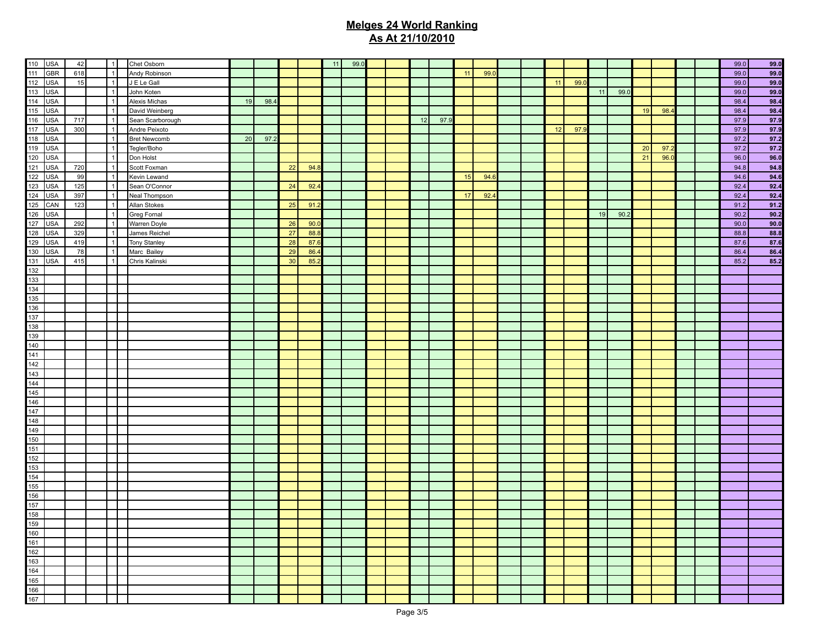|                                                      | 42  | $\vert$ 1      | Chet Osborn         |    |      |    |      | 11 | 99.0 |  |    |      |    |      |  |    |      |    |      |    |      |  | 99.0 | 99.0 |
|------------------------------------------------------|-----|----------------|---------------------|----|------|----|------|----|------|--|----|------|----|------|--|----|------|----|------|----|------|--|------|------|
|                                                      | 618 | $\overline{1}$ | Andy Robinson       |    |      |    |      |    |      |  |    |      | 11 | 99.0 |  |    |      |    |      |    |      |  | 99.0 | 99.0 |
|                                                      | 15  | $\overline{1}$ | J E Le Gall         |    |      |    |      |    |      |  |    |      |    |      |  | 11 | 99.0 |    |      |    |      |  | 99.0 | 99.0 |
|                                                      |     | $\overline{1}$ |                     |    |      |    |      |    |      |  |    |      |    |      |  |    |      |    |      |    |      |  |      |      |
|                                                      |     |                | John Koten          |    |      |    |      |    |      |  |    |      |    |      |  |    |      | 11 | 99.0 |    |      |  | 99.0 | 99.0 |
|                                                      |     | $\overline{1}$ | Alexis Michas       | 19 | 98.4 |    |      |    |      |  |    |      |    |      |  |    |      |    |      |    |      |  | 98.4 | 98.4 |
|                                                      |     | $\overline{1}$ | David Weinberg      |    |      |    |      |    |      |  |    |      |    |      |  |    |      |    |      | 19 | 98.4 |  | 98.4 | 98.4 |
|                                                      | 717 | $\overline{1}$ | Sean Scarborough    |    |      |    |      |    |      |  | 12 | 97.9 |    |      |  |    |      |    |      |    |      |  | 97.9 | 97.9 |
|                                                      | 300 | $\overline{1}$ | Andre Peixoto       |    |      |    |      |    |      |  |    |      |    |      |  | 12 | 97.9 |    |      |    |      |  | 97.9 | 97.9 |
|                                                      |     | $\overline{1}$ | <b>Bret Newcomb</b> | 20 | 97.2 |    |      |    |      |  |    |      |    |      |  |    |      |    |      |    |      |  | 97.2 | 97.2 |
|                                                      |     | $\overline{1}$ | Tegler/Boho         |    |      |    |      |    |      |  |    |      |    |      |  |    |      |    |      | 20 | 97.2 |  | 97.2 | 97.2 |
|                                                      |     | $\overline{1}$ | Don Holst           |    |      |    |      |    |      |  |    |      |    |      |  |    |      |    |      | 21 | 96.0 |  | 96.0 | 96.0 |
|                                                      | 720 | $\overline{1}$ | Scott Foxman        |    |      | 22 | 94.8 |    |      |  |    |      |    |      |  |    |      |    |      |    |      |  | 94.8 | 94.8 |
|                                                      | 99  | $\overline{1}$ | Kevin Lewand        |    |      |    |      |    |      |  |    |      | 15 | 94.6 |  |    |      |    |      |    |      |  | 94.6 | 94.6 |
|                                                      | 125 | $\overline{1}$ | Sean O'Connor       |    |      | 24 | 92.4 |    |      |  |    |      |    |      |  |    |      |    |      |    |      |  | 92.4 | 92.4 |
|                                                      | 397 | $\overline{1}$ | Neal Thompson       |    |      |    |      |    |      |  |    |      | 17 | 92.  |  |    |      |    |      |    |      |  | 92.4 | 92.4 |
|                                                      | 123 | $\overline{1}$ | Allan Stokes        |    |      | 25 | 91.2 |    |      |  |    |      |    |      |  |    |      |    |      |    |      |  | 91.2 | 91.2 |
|                                                      |     | $\overline{1}$ | <b>Greg Fornal</b>  |    |      |    |      |    |      |  |    |      |    |      |  |    |      | 19 | 90.2 |    |      |  | 90.2 | 90.2 |
|                                                      | 292 | $\overline{1}$ | Warren Doyle        |    |      | 26 | 90.0 |    |      |  |    |      |    |      |  |    |      |    |      |    |      |  | 90.0 | 90.0 |
|                                                      | 329 | $\overline{1}$ | James Reichel       |    |      | 27 | 88.8 |    |      |  |    |      |    |      |  |    |      |    |      |    |      |  | 88.8 | 88.8 |
|                                                      | 419 | $\overline{1}$ | Tony Stanley        |    |      | 28 | 87.6 |    |      |  |    |      |    |      |  |    |      |    |      |    |      |  | 87.6 | 87.6 |
|                                                      | 78  | $\overline{1}$ | Marc Bailey         |    |      | 29 | 86.  |    |      |  |    |      |    |      |  |    |      |    |      |    |      |  | 86.4 | 86.4 |
|                                                      | 415 | $\overline{1}$ | Chris Kalinski      |    |      | 30 | 85.2 |    |      |  |    |      |    |      |  |    |      |    |      |    |      |  | 85.2 | 85.2 |
|                                                      |     |                |                     |    |      |    |      |    |      |  |    |      |    |      |  |    |      |    |      |    |      |  |      |      |
|                                                      |     |                |                     |    |      |    |      |    |      |  |    |      |    |      |  |    |      |    |      |    |      |  |      |      |
|                                                      |     |                |                     |    |      |    |      |    |      |  |    |      |    |      |  |    |      |    |      |    |      |  |      |      |
|                                                      |     |                |                     |    |      |    |      |    |      |  |    |      |    |      |  |    |      |    |      |    |      |  |      |      |
|                                                      |     |                |                     |    |      |    |      |    |      |  |    |      |    |      |  |    |      |    |      |    |      |  |      |      |
|                                                      |     |                |                     |    |      |    |      |    |      |  |    |      |    |      |  |    |      |    |      |    |      |  |      |      |
|                                                      |     |                |                     |    |      |    |      |    |      |  |    |      |    |      |  |    |      |    |      |    |      |  |      |      |
|                                                      |     |                |                     |    |      |    |      |    |      |  |    |      |    |      |  |    |      |    |      |    |      |  |      |      |
|                                                      |     |                |                     |    |      |    |      |    |      |  |    |      |    |      |  |    |      |    |      |    |      |  |      |      |
|                                                      |     |                |                     |    |      |    |      |    |      |  |    |      |    |      |  |    |      |    |      |    |      |  |      |      |
|                                                      |     |                |                     |    |      |    |      |    |      |  |    |      |    |      |  |    |      |    |      |    |      |  |      |      |
|                                                      |     |                |                     |    |      |    |      |    |      |  |    |      |    |      |  |    |      |    |      |    |      |  |      |      |
|                                                      |     |                |                     |    |      |    |      |    |      |  |    |      |    |      |  |    |      |    |      |    |      |  |      |      |
|                                                      |     |                |                     |    |      |    |      |    |      |  |    |      |    |      |  |    |      |    |      |    |      |  |      |      |
|                                                      |     |                |                     |    |      |    |      |    |      |  |    |      |    |      |  |    |      |    |      |    |      |  |      |      |
|                                                      |     |                |                     |    |      |    |      |    |      |  |    |      |    |      |  |    |      |    |      |    |      |  |      |      |
|                                                      |     |                |                     |    |      |    |      |    |      |  |    |      |    |      |  |    |      |    |      |    |      |  |      |      |
|                                                      |     |                |                     |    |      |    |      |    |      |  |    |      |    |      |  |    |      |    |      |    |      |  |      |      |
|                                                      |     |                |                     |    |      |    |      |    |      |  |    |      |    |      |  |    |      |    |      |    |      |  |      |      |
|                                                      |     |                |                     |    |      |    |      |    |      |  |    |      |    |      |  |    |      |    |      |    |      |  |      |      |
|                                                      |     |                |                     |    |      |    |      |    |      |  |    |      |    |      |  |    |      |    |      |    |      |  |      |      |
|                                                      |     |                |                     |    |      |    |      |    |      |  |    |      |    |      |  |    |      |    |      |    |      |  |      |      |
|                                                      |     |                |                     |    |      |    |      |    |      |  |    |      |    |      |  |    |      |    |      |    |      |  |      |      |
|                                                      |     |                |                     |    |      |    |      |    |      |  |    |      |    |      |  |    |      |    |      |    |      |  |      |      |
|                                                      |     |                |                     |    |      |    |      |    |      |  |    |      |    |      |  |    |      |    |      |    |      |  |      |      |
|                                                      |     |                |                     |    |      |    |      |    |      |  |    |      |    |      |  |    |      |    |      |    |      |  |      |      |
|                                                      |     |                |                     |    |      |    |      |    |      |  |    |      |    |      |  |    |      |    |      |    |      |  |      |      |
|                                                      |     |                |                     |    |      |    |      |    |      |  |    |      |    |      |  |    |      |    |      |    |      |  |      |      |
|                                                      |     |                |                     |    |      |    |      |    |      |  |    |      |    |      |  |    |      |    |      |    |      |  |      |      |
|                                                      |     |                |                     |    |      |    |      |    |      |  |    |      |    |      |  |    |      |    |      |    |      |  |      |      |
|                                                      |     |                |                     |    |      |    |      |    |      |  |    |      |    |      |  |    |      |    |      |    |      |  |      |      |
|                                                      |     |                |                     |    |      |    |      |    |      |  |    |      |    |      |  |    |      |    |      |    |      |  |      |      |
|                                                      |     |                |                     |    |      |    |      |    |      |  |    |      |    |      |  |    |      |    |      |    |      |  |      |      |
|                                                      |     |                |                     |    |      |    |      |    |      |  |    |      |    |      |  |    |      |    |      |    |      |  |      |      |
|                                                      |     |                |                     |    |      |    |      |    |      |  |    |      |    |      |  |    |      |    |      |    |      |  |      |      |
| 160<br>161<br>162<br>163<br>164<br>165<br>166<br>167 |     |                |                     |    |      |    |      |    |      |  |    |      |    |      |  |    |      |    |      |    |      |  |      |      |
|                                                      |     |                |                     |    |      |    |      |    |      |  |    |      |    |      |  |    |      |    |      |    |      |  |      |      |
|                                                      |     |                |                     |    |      |    |      |    |      |  |    |      |    |      |  |    |      |    |      |    |      |  |      |      |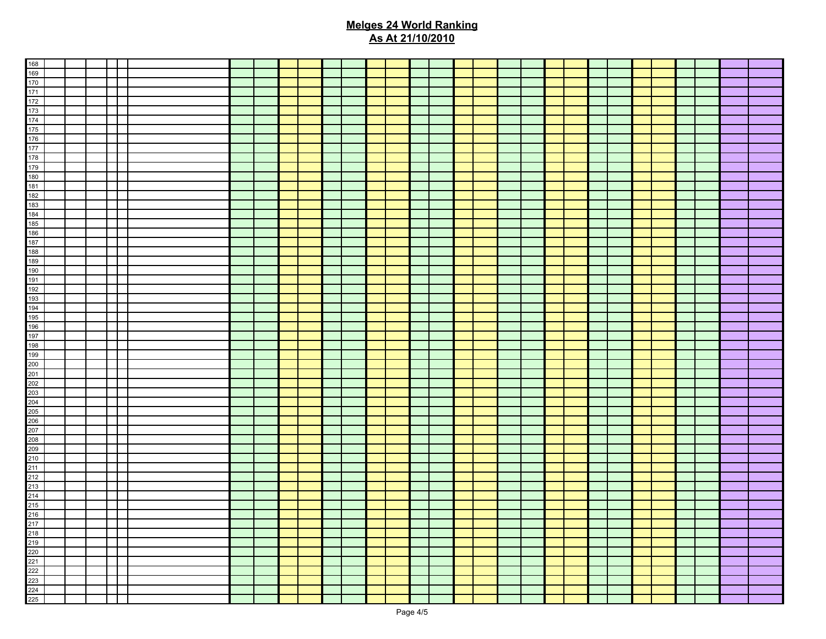| 218<br>219<br>220<br>221<br>222<br>223<br>224<br>225 |  |  |  |  |  |  |  |  |  |  |  |  |  |  |
|------------------------------------------------------|--|--|--|--|--|--|--|--|--|--|--|--|--|--|
|                                                      |  |  |  |  |  |  |  |  |  |  |  |  |  |  |
|                                                      |  |  |  |  |  |  |  |  |  |  |  |  |  |  |